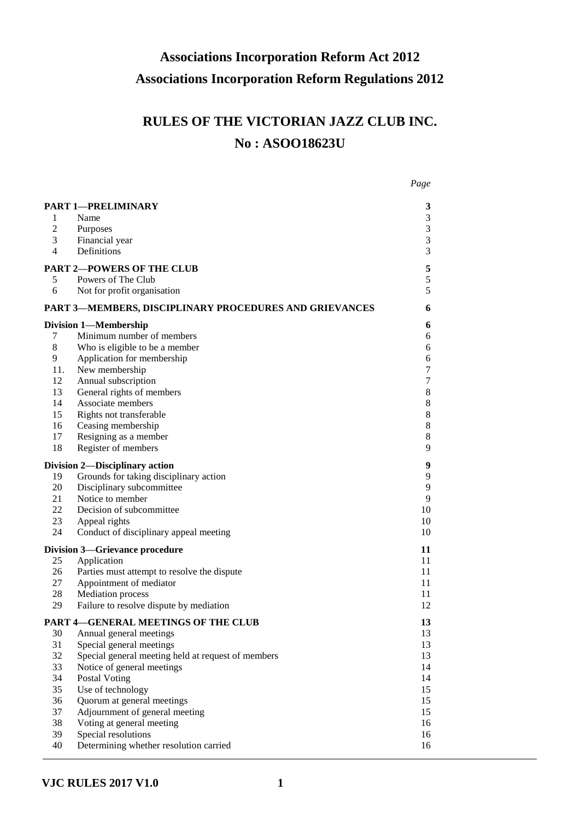# **Associations Incorporation Reform Act 2012 Associations Incorporation Reform Regulations 2012**

# **RULES OF THE VICTORIAN JAZZ CLUB INC. No : ASOO18623U**

| <b>PART 1-PRELIMINARY</b><br>Name<br>1<br>$\mathfrak{2}$<br>Purposes<br>3<br>Financial year<br>$\overline{4}$<br>Definitions<br><b>PART 2-POWERS OF THE CLUB</b><br>Powers of The Club<br>5<br>6<br>Not for profit organisation<br><b>PART 3-MEMBERS, DISCIPLINARY PROCEDURES AND GRIEVANCES</b><br><b>Division 1-Membership</b><br>Minimum number of members<br>7<br>8<br>Who is eligible to be a member<br>9<br>Application for membership<br>New membership<br>11.<br>Annual subscription<br>12 |          |
|----------------------------------------------------------------------------------------------------------------------------------------------------------------------------------------------------------------------------------------------------------------------------------------------------------------------------------------------------------------------------------------------------------------------------------------------------------------------------------------------------|----------|
|                                                                                                                                                                                                                                                                                                                                                                                                                                                                                                    | 3        |
|                                                                                                                                                                                                                                                                                                                                                                                                                                                                                                    | 3        |
|                                                                                                                                                                                                                                                                                                                                                                                                                                                                                                    | 3        |
|                                                                                                                                                                                                                                                                                                                                                                                                                                                                                                    | 3        |
|                                                                                                                                                                                                                                                                                                                                                                                                                                                                                                    | 3        |
|                                                                                                                                                                                                                                                                                                                                                                                                                                                                                                    | 5        |
|                                                                                                                                                                                                                                                                                                                                                                                                                                                                                                    | 5        |
|                                                                                                                                                                                                                                                                                                                                                                                                                                                                                                    | 5        |
|                                                                                                                                                                                                                                                                                                                                                                                                                                                                                                    | 6        |
|                                                                                                                                                                                                                                                                                                                                                                                                                                                                                                    | 6        |
|                                                                                                                                                                                                                                                                                                                                                                                                                                                                                                    | 6        |
|                                                                                                                                                                                                                                                                                                                                                                                                                                                                                                    | 6        |
|                                                                                                                                                                                                                                                                                                                                                                                                                                                                                                    | 6        |
|                                                                                                                                                                                                                                                                                                                                                                                                                                                                                                    | 7        |
|                                                                                                                                                                                                                                                                                                                                                                                                                                                                                                    | 7        |
| General rights of members<br>13                                                                                                                                                                                                                                                                                                                                                                                                                                                                    | 8        |
| 14<br>Associate members                                                                                                                                                                                                                                                                                                                                                                                                                                                                            | 8        |
| 15<br>Rights not transferable                                                                                                                                                                                                                                                                                                                                                                                                                                                                      | 8        |
| Ceasing membership<br>16                                                                                                                                                                                                                                                                                                                                                                                                                                                                           | 8        |
| 17<br>Resigning as a member                                                                                                                                                                                                                                                                                                                                                                                                                                                                        | 8        |
| 18<br>Register of members                                                                                                                                                                                                                                                                                                                                                                                                                                                                          | 9        |
| <b>Division 2-Disciplinary action</b>                                                                                                                                                                                                                                                                                                                                                                                                                                                              | 9        |
| Grounds for taking disciplinary action<br>19                                                                                                                                                                                                                                                                                                                                                                                                                                                       | 9        |
| Disciplinary subcommittee<br>20                                                                                                                                                                                                                                                                                                                                                                                                                                                                    | 9        |
| Notice to member<br>21                                                                                                                                                                                                                                                                                                                                                                                                                                                                             | 9        |
| 22<br>Decision of subcommittee                                                                                                                                                                                                                                                                                                                                                                                                                                                                     | 10       |
| 23<br>Appeal rights                                                                                                                                                                                                                                                                                                                                                                                                                                                                                | 10       |
| 24<br>Conduct of disciplinary appeal meeting                                                                                                                                                                                                                                                                                                                                                                                                                                                       | 10       |
| <b>Division 3-Grievance procedure</b>                                                                                                                                                                                                                                                                                                                                                                                                                                                              | 11       |
| Application<br>25                                                                                                                                                                                                                                                                                                                                                                                                                                                                                  | 11       |
| Parties must attempt to resolve the dispute<br>26                                                                                                                                                                                                                                                                                                                                                                                                                                                  | 11       |
| 27<br>Appointment of mediator                                                                                                                                                                                                                                                                                                                                                                                                                                                                      | 11       |
| <b>Mediation</b> process<br>28                                                                                                                                                                                                                                                                                                                                                                                                                                                                     | 11       |
| 29<br>Failure to resolve dispute by mediation                                                                                                                                                                                                                                                                                                                                                                                                                                                      | 12       |
| PART 4-GENERAL MEETINGS OF THE CLUB                                                                                                                                                                                                                                                                                                                                                                                                                                                                | 13       |
| Annual general meetings<br>30                                                                                                                                                                                                                                                                                                                                                                                                                                                                      | 13       |
| 31<br>Special general meetings                                                                                                                                                                                                                                                                                                                                                                                                                                                                     | 13       |
| 32<br>Special general meeting held at request of members                                                                                                                                                                                                                                                                                                                                                                                                                                           | 13       |
| 33<br>Notice of general meetings                                                                                                                                                                                                                                                                                                                                                                                                                                                                   | 14       |
| 34<br>Postal Voting                                                                                                                                                                                                                                                                                                                                                                                                                                                                                | 14       |
| Use of technology<br>35<br>Quorum at general meetings<br>36                                                                                                                                                                                                                                                                                                                                                                                                                                        | 15<br>15 |
| Adjournment of general meeting<br>37                                                                                                                                                                                                                                                                                                                                                                                                                                                               | 15       |
| 38<br>Voting at general meeting                                                                                                                                                                                                                                                                                                                                                                                                                                                                    | 16       |
| Special resolutions<br>39                                                                                                                                                                                                                                                                                                                                                                                                                                                                          | 16       |
| 40<br>Determining whether resolution carried                                                                                                                                                                                                                                                                                                                                                                                                                                                       | 16       |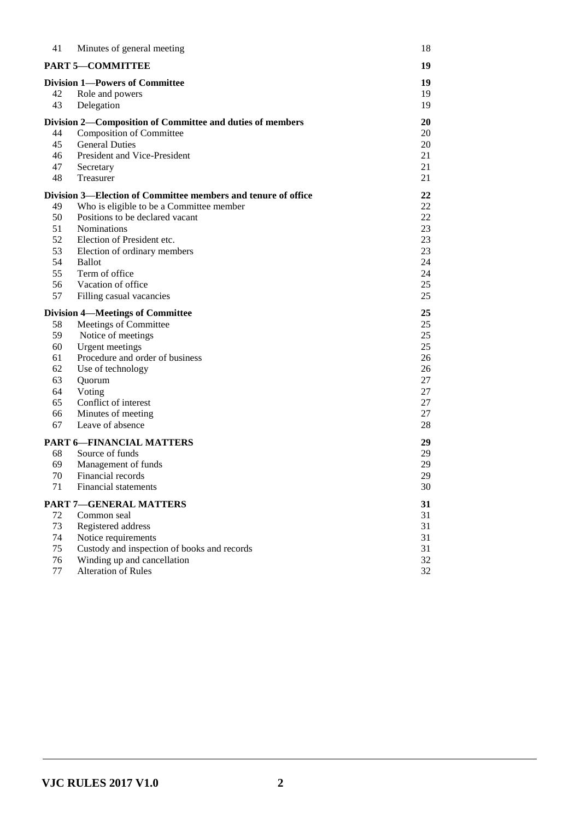| 41 | Minutes of general meeting                                    | 18 |
|----|---------------------------------------------------------------|----|
|    | <b>PART 5-COMMITTEE</b>                                       | 19 |
|    | <b>Division 1-Powers of Committee</b>                         | 19 |
| 42 | Role and powers                                               | 19 |
| 43 | Delegation                                                    | 19 |
|    | Division 2—Composition of Committee and duties of members     | 20 |
| 44 | <b>Composition of Committee</b>                               | 20 |
| 45 | <b>General Duties</b>                                         | 20 |
| 46 | President and Vice-President                                  | 21 |
| 47 | Secretary                                                     | 21 |
| 48 | Treasurer                                                     | 21 |
|    | Division 3—Election of Committee members and tenure of office | 22 |
| 49 | Who is eligible to be a Committee member                      | 22 |
| 50 | Positions to be declared vacant                               | 22 |
| 51 | <b>Nominations</b>                                            | 23 |
| 52 | Election of President etc.                                    | 23 |
| 53 | Election of ordinary members                                  | 23 |
| 54 | <b>Ballot</b>                                                 | 24 |
| 55 | Term of office                                                | 24 |
| 56 | Vacation of office                                            | 25 |
| 57 | Filling casual vacancies                                      | 25 |
|    | <b>Division 4—Meetings of Committee</b>                       | 25 |
| 58 | Meetings of Committee                                         | 25 |
| 59 | Notice of meetings                                            | 25 |
| 60 | <b>Urgent</b> meetings                                        | 25 |
| 61 | Procedure and order of business                               | 26 |
| 62 | Use of technology                                             | 26 |
| 63 | Quorum                                                        | 27 |
| 64 | Voting                                                        | 27 |
| 65 | Conflict of interest                                          | 27 |
| 66 | Minutes of meeting                                            | 27 |
| 67 | Leave of absence                                              | 28 |
|    | <b>PART 6-FINANCIAL MATTERS</b>                               | 29 |
| 68 | Source of funds                                               | 29 |
| 69 | Management of funds                                           | 29 |
| 70 | Financial records                                             | 29 |
| 71 | Financial statements                                          | 30 |
|    | <b>PART 7-GENERAL MATTERS</b>                                 | 31 |
| 72 | Common seal                                                   | 31 |
| 73 | Registered address                                            | 31 |
| 74 | Notice requirements                                           | 31 |
| 75 | Custody and inspection of books and records                   | 31 |
| 76 | Winding up and cancellation                                   | 32 |
| 77 | <b>Alteration of Rules</b>                                    | 32 |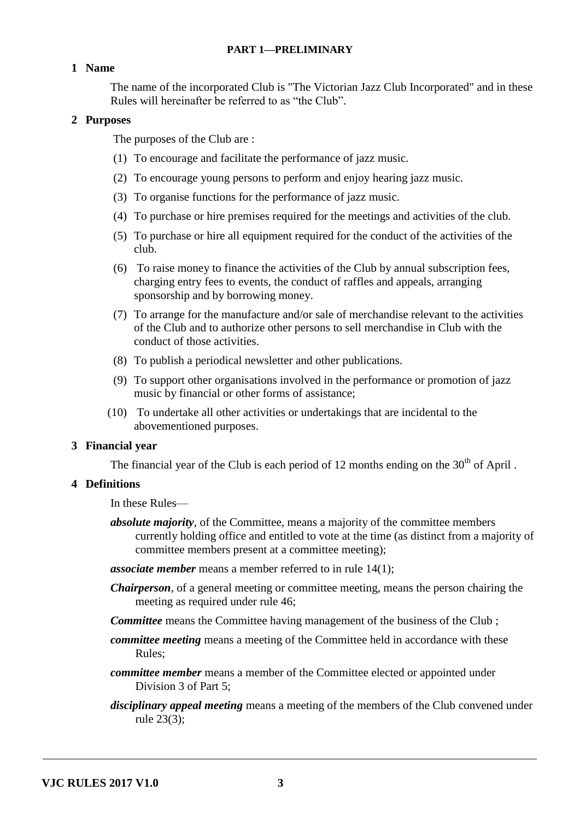## **PART 1—PRELIMINARY**

#### **1 Name**

The name of the incorporated Club is "The Victorian Jazz Club Incorporated" and in these Rules will hereinafter be referred to as "the Club".

#### **2 Purposes**

The purposes of the Club are :

- (1) To encourage and facilitate the performance of jazz music.
- (2) To encourage young persons to perform and enjoy hearing jazz music.
- (3) To organise functions for the performance of jazz music.
- (4) To purchase or hire premises required for the meetings and activities of the club.
- (5) To purchase or hire all equipment required for the conduct of the activities of the club.
- (6) To raise money to finance the activities of the Club by annual subscription fees, charging entry fees to events, the conduct of raffles and appeals, arranging sponsorship and by borrowing money.
- (7) To arrange for the manufacture and/or sale of merchandise relevant to the activities of the Club and to authorize other persons to sell merchandise in Club with the conduct of those activities.
- (8) To publish a periodical newsletter and other publications.
- (9) To support other organisations involved in the performance or promotion of jazz music by financial or other forms of assistance;
- (10) To undertake all other activities or undertakings that are incidental to the abovementioned purposes.

#### **3 Financial year**

The financial year of the Club is each period of 12 months ending on the  $30<sup>th</sup>$  of April.

## **4 Definitions**

In these Rules—

*absolute majority*, of the Committee, means a majority of the committee members currently holding office and entitled to vote at the time (as distinct from a majority of committee members present at a committee meeting);

*associate member* means a member referred to in rule 14(1);

- *Chairperson*, of a general meeting or committee meeting, means the person chairing the meeting as required under rule 46;
- *Committee* means the Committee having management of the business of the Club ;
- *committee meeting* means a meeting of the Committee held in accordance with these Rules;
- *committee member* means a member of the Committee elected or appointed under Division 3 of Part 5;
- *disciplinary appeal meeting* means a meeting of the members of the Club convened under rule 23(3);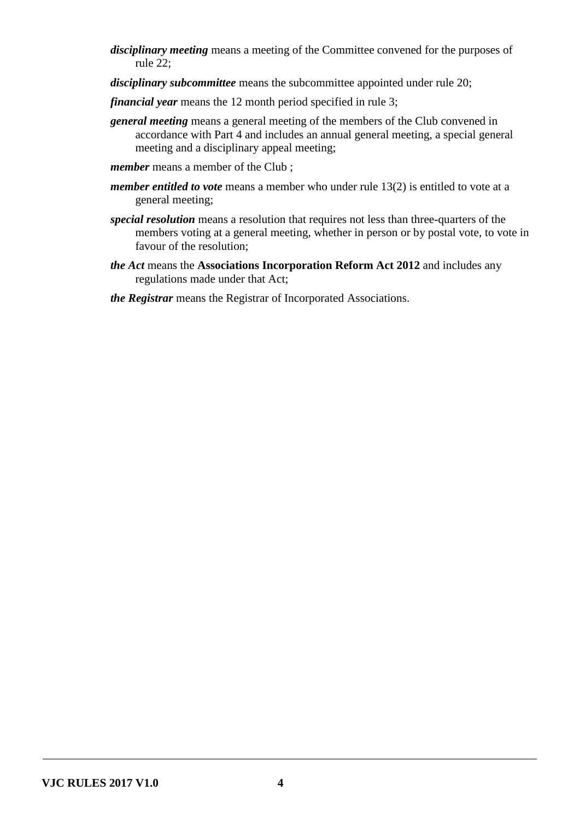- *disciplinary meeting* means a meeting of the Committee convened for the purposes of rule 22;
- *disciplinary subcommittee* means the subcommittee appointed under rule 20;
- *financial year* means the 12 month period specified in rule 3;
- *general meeting* means a general meeting of the members of the Club convened in accordance with Part 4 and includes an annual general meeting, a special general meeting and a disciplinary appeal meeting;
- *member* means a member of the Club:
- *member entitled to vote* means a member who under rule 13(2) is entitled to vote at a general meeting;
- *special resolution* means a resolution that requires not less than three-quarters of the members voting at a general meeting, whether in person or by postal vote, to vote in favour of the resolution;
- *the Act* means the **Associations Incorporation Reform Act 2012** and includes any regulations made under that Act;
- *the Registrar* means the Registrar of Incorporated Associations.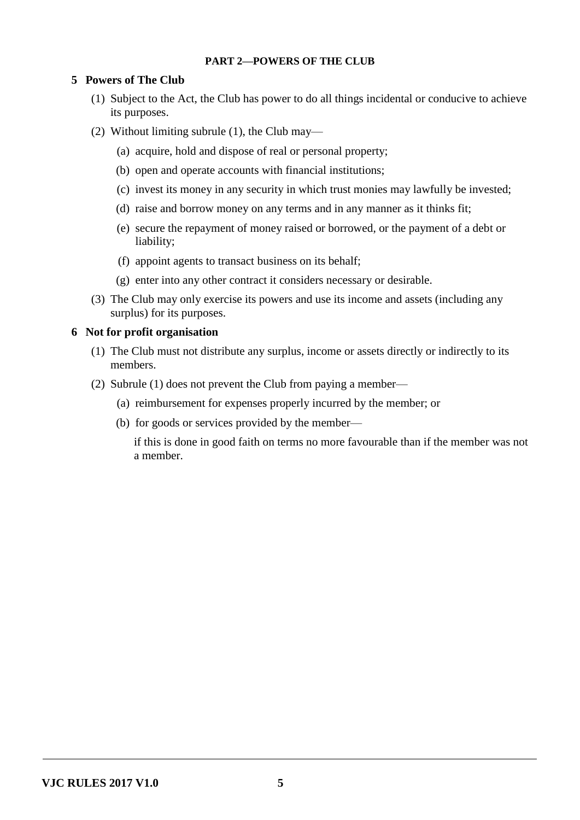# **PART 2—POWERS OF THE CLUB**

# **5 Powers of The Club**

- (1) Subject to the Act, the Club has power to do all things incidental or conducive to achieve its purposes.
- (2) Without limiting subrule (1), the Club may—
	- (a) acquire, hold and dispose of real or personal property;
	- (b) open and operate accounts with financial institutions;
	- (c) invest its money in any security in which trust monies may lawfully be invested;
	- (d) raise and borrow money on any terms and in any manner as it thinks fit;
	- (e) secure the repayment of money raised or borrowed, or the payment of a debt or liability;
	- (f) appoint agents to transact business on its behalf;
	- (g) enter into any other contract it considers necessary or desirable.
- (3) The Club may only exercise its powers and use its income and assets (including any surplus) for its purposes.

#### **6 Not for profit organisation**

- (1) The Club must not distribute any surplus, income or assets directly or indirectly to its members.
- (2) Subrule (1) does not prevent the Club from paying a member—
	- (a) reimbursement for expenses properly incurred by the member; or
	- (b) for goods or services provided by the member—

if this is done in good faith on terms no more favourable than if the member was not a member.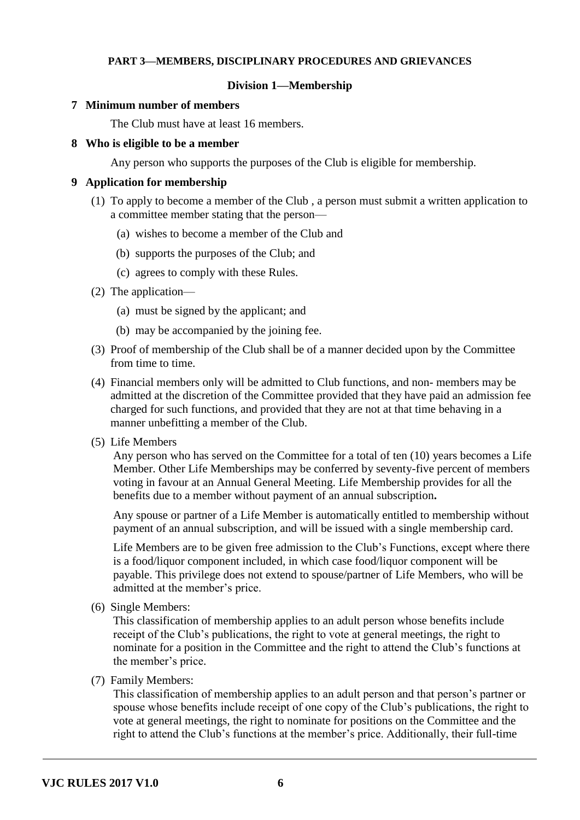## **PART 3—MEMBERS, DISCIPLINARY PROCEDURES AND GRIEVANCES**

#### **Division 1—Membership**

#### **7 Minimum number of members**

The Club must have at least 16 members.

#### **8 Who is eligible to be a member**

Any person who supports the purposes of the Club is eligible for membership.

#### **9 Application for membership**

- (1) To apply to become a member of the Club , a person must submit a written application to a committee member stating that the person—
	- (a) wishes to become a member of the Club and
	- (b) supports the purposes of the Club; and
	- (c) agrees to comply with these Rules.
- (2) The application—
	- (a) must be signed by the applicant; and
	- (b) may be accompanied by the joining fee.
- (3) Proof of membership of the Club shall be of a manner decided upon by the Committee from time to time.
- (4) Financial members only will be admitted to Club functions, and non- members may be admitted at the discretion of the Committee provided that they have paid an admission fee charged for such functions, and provided that they are not at that time behaving in a manner unbefitting a member of the Club.
- (5) Life Members

Any person who has served on the Committee for a total of ten (10) years becomes a Life Member. Other Life Memberships may be conferred by seventy-five percent of members voting in favour at an Annual General Meeting. Life Membership provides for all the benefits due to a member without payment of an annual subscription**.**

Any spouse or partner of a Life Member is automatically entitled to membership without payment of an annual subscription, and will be issued with a single membership card.

Life Members are to be given free admission to the Club's Functions, except where there is a food/liquor component included, in which case food/liquor component will be payable. This privilege does not extend to spouse/partner of Life Members, who will be admitted at the member's price.

(6) Single Members:

This classification of membership applies to an adult person whose benefits include receipt of the Club's publications, the right to vote at general meetings, the right to nominate for a position in the Committee and the right to attend the Club's functions at the member's price.

(7) Family Members:

This classification of membership applies to an adult person and that person's partner or spouse whose benefits include receipt of one copy of the Club's publications, the right to vote at general meetings, the right to nominate for positions on the Committee and the right to attend the Club's functions at the member's price. Additionally, their full-time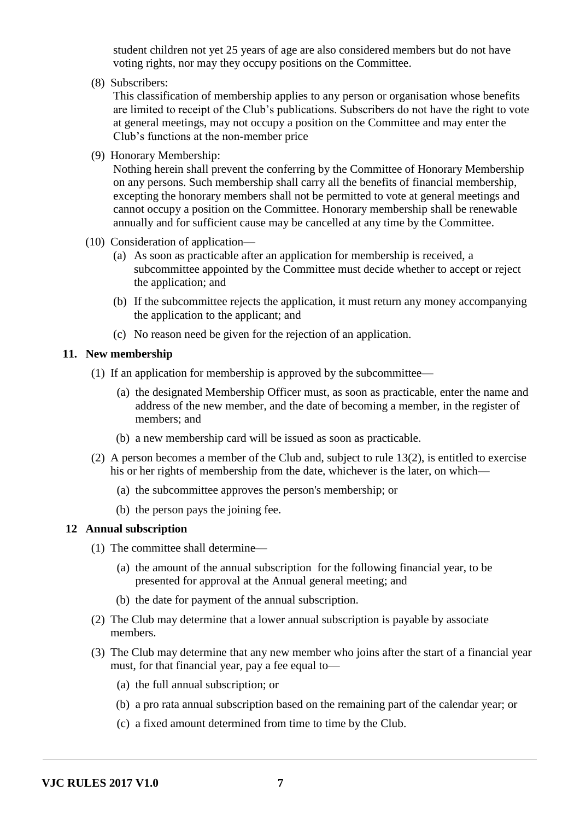student children not yet 25 years of age are also considered members but do not have voting rights, nor may they occupy positions on the Committee.

(8) Subscribers:

This classification of membership applies to any person or organisation whose benefits are limited to receipt of the Club's publications. Subscribers do not have the right to vote at general meetings, may not occupy a position on the Committee and may enter the Club's functions at the non-member price

(9) Honorary Membership:

Nothing herein shall prevent the conferring by the Committee of Honorary Membership on any persons. Such membership shall carry all the benefits of financial membership, excepting the honorary members shall not be permitted to vote at general meetings and cannot occupy a position on the Committee. Honorary membership shall be renewable annually and for sufficient cause may be cancelled at any time by the Committee.

- (10) Consideration of application—
	- (a) As soon as practicable after an application for membership is received, a subcommittee appointed by the Committee must decide whether to accept or reject the application; and
	- (b) If the subcommittee rejects the application, it must return any money accompanying the application to the applicant; and
	- (c) No reason need be given for the rejection of an application.

#### **11. New membership**

- (1) If an application for membership is approved by the subcommittee—
	- (a) the designated Membership Officer must, as soon as practicable, enter the name and address of the new member, and the date of becoming a member, in the register of members; and
	- (b) a new membership card will be issued as soon as practicable.
- (2) A person becomes a member of the Club and, subject to rule 13(2), is entitled to exercise his or her rights of membership from the date, whichever is the later, on which—
	- (a) the subcommittee approves the person's membership; or
	- (b) the person pays the joining fee.

#### **12 Annual subscription**

- (1) The committee shall determine—
	- (a) the amount of the annual subscription for the following financial year, to be presented for approval at the Annual general meeting; and
	- (b) the date for payment of the annual subscription.
- (2) The Club may determine that a lower annual subscription is payable by associate members.
- (3) The Club may determine that any new member who joins after the start of a financial year must, for that financial year, pay a fee equal to—
	- (a) the full annual subscription; or
	- (b) a pro rata annual subscription based on the remaining part of the calendar year; or
	- (c) a fixed amount determined from time to time by the Club.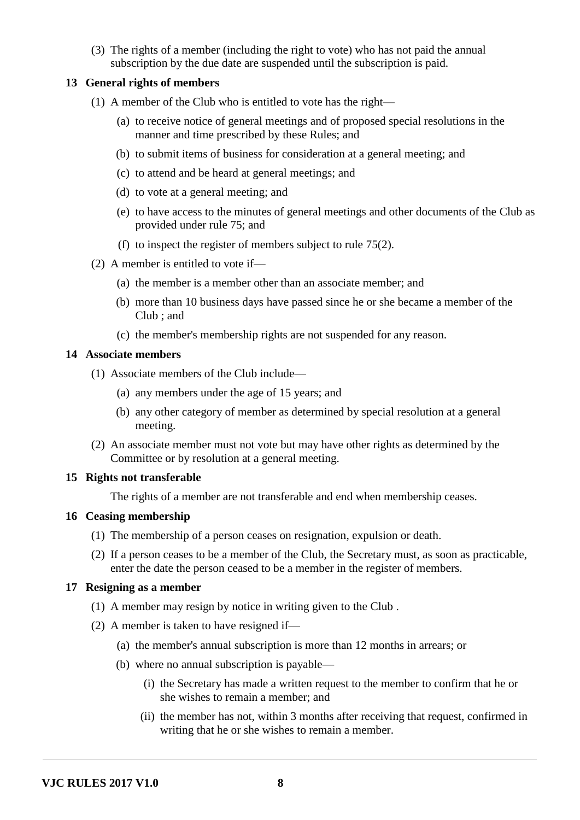(3) The rights of a member (including the right to vote) who has not paid the annual subscription by the due date are suspended until the subscription is paid.

# **13 General rights of members**

- (1) A member of the Club who is entitled to vote has the right—
	- (a) to receive notice of general meetings and of proposed special resolutions in the manner and time prescribed by these Rules; and
	- (b) to submit items of business for consideration at a general meeting; and
	- (c) to attend and be heard at general meetings; and
	- (d) to vote at a general meeting; and
	- (e) to have access to the minutes of general meetings and other documents of the Club as provided under rule 75; and
	- (f) to inspect the register of members subject to rule 75(2).
- (2) A member is entitled to vote if—
	- (a) the member is a member other than an associate member; and
	- (b) more than 10 business days have passed since he or she became a member of the Club ; and
	- (c) the member's membership rights are not suspended for any reason.

# **14 Associate members**

- (1) Associate members of the Club include—
	- (a) any members under the age of 15 years; and
	- (b) any other category of member as determined by special resolution at a general meeting.
- (2) An associate member must not vote but may have other rights as determined by the Committee or by resolution at a general meeting.

# **15 Rights not transferable**

The rights of a member are not transferable and end when membership ceases.

## **16 Ceasing membership**

- (1) The membership of a person ceases on resignation, expulsion or death.
- (2) If a person ceases to be a member of the Club, the Secretary must, as soon as practicable, enter the date the person ceased to be a member in the register of members.

## **17 Resigning as a member**

- (1) A member may resign by notice in writing given to the Club .
- (2) A member is taken to have resigned if—
	- (a) the member's annual subscription is more than 12 months in arrears; or
	- (b) where no annual subscription is payable—
		- (i) the Secretary has made a written request to the member to confirm that he or she wishes to remain a member; and
		- (ii) the member has not, within 3 months after receiving that request, confirmed in writing that he or she wishes to remain a member.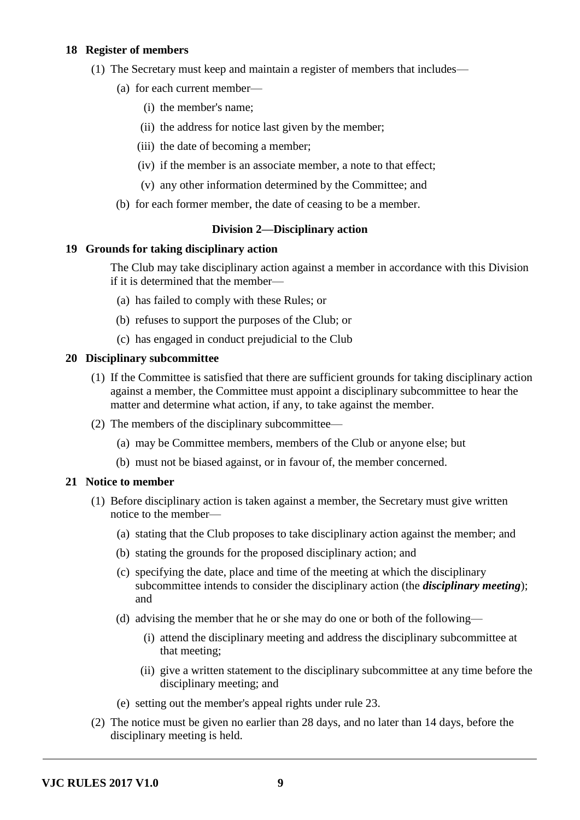# **18 Register of members**

- (1) The Secretary must keep and maintain a register of members that includes—
	- (a) for each current member—
		- (i) the member's name;
		- (ii) the address for notice last given by the member;
		- (iii) the date of becoming a member;
		- (iv) if the member is an associate member, a note to that effect;
		- (v) any other information determined by the Committee; and
	- (b) for each former member, the date of ceasing to be a member.

# **Division 2—Disciplinary action**

## **19 Grounds for taking disciplinary action**

The Club may take disciplinary action against a member in accordance with this Division if it is determined that the member—

- (a) has failed to comply with these Rules; or
- (b) refuses to support the purposes of the Club; or
- (c) has engaged in conduct prejudicial to the Club

## **20 Disciplinary subcommittee**

- (1) If the Committee is satisfied that there are sufficient grounds for taking disciplinary action against a member, the Committee must appoint a disciplinary subcommittee to hear the matter and determine what action, if any, to take against the member.
- (2) The members of the disciplinary subcommittee—
	- (a) may be Committee members, members of the Club or anyone else; but
	- (b) must not be biased against, or in favour of, the member concerned.

## **21 Notice to member**

- (1) Before disciplinary action is taken against a member, the Secretary must give written notice to the member—
	- (a) stating that the Club proposes to take disciplinary action against the member; and
	- (b) stating the grounds for the proposed disciplinary action; and
	- (c) specifying the date, place and time of the meeting at which the disciplinary subcommittee intends to consider the disciplinary action (the *disciplinary meeting*); and
	- (d) advising the member that he or she may do one or both of the following—
		- (i) attend the disciplinary meeting and address the disciplinary subcommittee at that meeting;
		- (ii) give a written statement to the disciplinary subcommittee at any time before the disciplinary meeting; and
	- (e) setting out the member's appeal rights under rule 23.
- (2) The notice must be given no earlier than 28 days, and no later than 14 days, before the disciplinary meeting is held.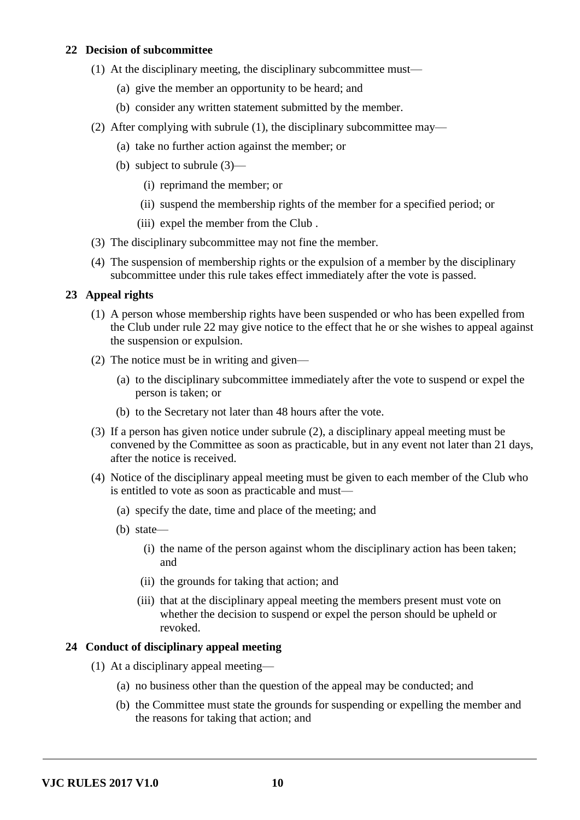# **22 Decision of subcommittee**

- (1) At the disciplinary meeting, the disciplinary subcommittee must—
	- (a) give the member an opportunity to be heard; and
	- (b) consider any written statement submitted by the member.
- (2) After complying with subrule (1), the disciplinary subcommittee may—
	- (a) take no further action against the member; or
	- (b) subject to subrule (3)—
		- (i) reprimand the member; or
		- (ii) suspend the membership rights of the member for a specified period; or
		- (iii) expel the member from the Club .
- (3) The disciplinary subcommittee may not fine the member.
- (4) The suspension of membership rights or the expulsion of a member by the disciplinary subcommittee under this rule takes effect immediately after the vote is passed.

#### **23 Appeal rights**

- (1) A person whose membership rights have been suspended or who has been expelled from the Club under rule 22 may give notice to the effect that he or she wishes to appeal against the suspension or expulsion.
- (2) The notice must be in writing and given—
	- (a) to the disciplinary subcommittee immediately after the vote to suspend or expel the person is taken; or
	- (b) to the Secretary not later than 48 hours after the vote.
- (3) If a person has given notice under subrule (2), a disciplinary appeal meeting must be convened by the Committee as soon as practicable, but in any event not later than 21 days, after the notice is received.
- (4) Notice of the disciplinary appeal meeting must be given to each member of the Club who is entitled to vote as soon as practicable and must—
	- (a) specify the date, time and place of the meeting; and
	- (b) state—
		- (i) the name of the person against whom the disciplinary action has been taken; and
		- (ii) the grounds for taking that action; and
		- (iii) that at the disciplinary appeal meeting the members present must vote on whether the decision to suspend or expel the person should be upheld or revoked.

#### **24 Conduct of disciplinary appeal meeting**

- (1) At a disciplinary appeal meeting—
	- (a) no business other than the question of the appeal may be conducted; and
	- (b) the Committee must state the grounds for suspending or expelling the member and the reasons for taking that action; and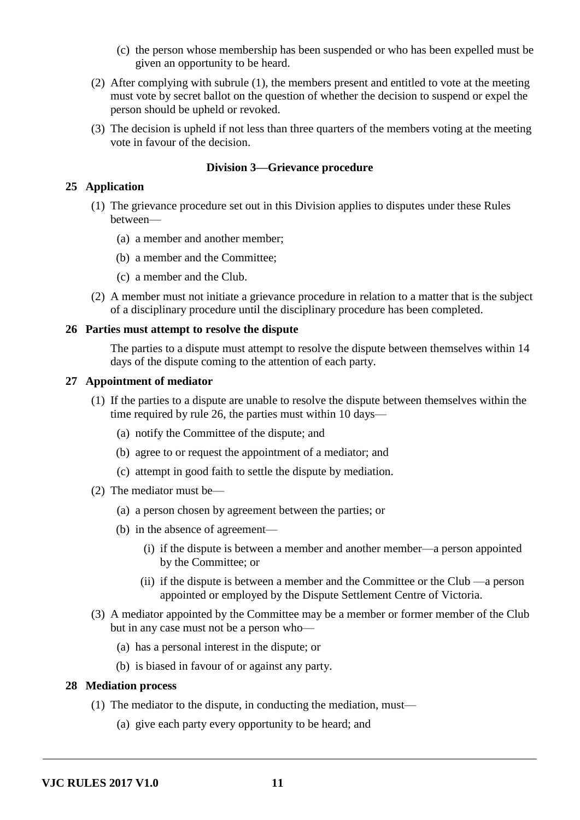- (c) the person whose membership has been suspended or who has been expelled must be given an opportunity to be heard.
- (2) After complying with subrule (1), the members present and entitled to vote at the meeting must vote by secret ballot on the question of whether the decision to suspend or expel the person should be upheld or revoked.
- (3) The decision is upheld if not less than three quarters of the members voting at the meeting vote in favour of the decision.

# **Division 3—Grievance procedure**

# **25 Application**

- (1) The grievance procedure set out in this Division applies to disputes under these Rules between—
	- (a) a member and another member;
	- (b) a member and the Committee;
	- (c) a member and the Club.
- (2) A member must not initiate a grievance procedure in relation to a matter that is the subject of a disciplinary procedure until the disciplinary procedure has been completed.

## **26 Parties must attempt to resolve the dispute**

The parties to a dispute must attempt to resolve the dispute between themselves within 14 days of the dispute coming to the attention of each party.

## **27 Appointment of mediator**

- (1) If the parties to a dispute are unable to resolve the dispute between themselves within the time required by rule 26, the parties must within 10 days—
	- (a) notify the Committee of the dispute; and
	- (b) agree to or request the appointment of a mediator; and
	- (c) attempt in good faith to settle the dispute by mediation.
- (2) The mediator must be—
	- (a) a person chosen by agreement between the parties; or
	- (b) in the absence of agreement—
		- (i) if the dispute is between a member and another member—a person appointed by the Committee; or
		- (ii) if the dispute is between a member and the Committee or the Club —a person appointed or employed by the Dispute Settlement Centre of Victoria.
- (3) A mediator appointed by the Committee may be a member or former member of the Club but in any case must not be a person who—
	- (a) has a personal interest in the dispute; or
	- (b) is biased in favour of or against any party.

## **28 Mediation process**

- (1) The mediator to the dispute, in conducting the mediation, must—
	- (a) give each party every opportunity to be heard; and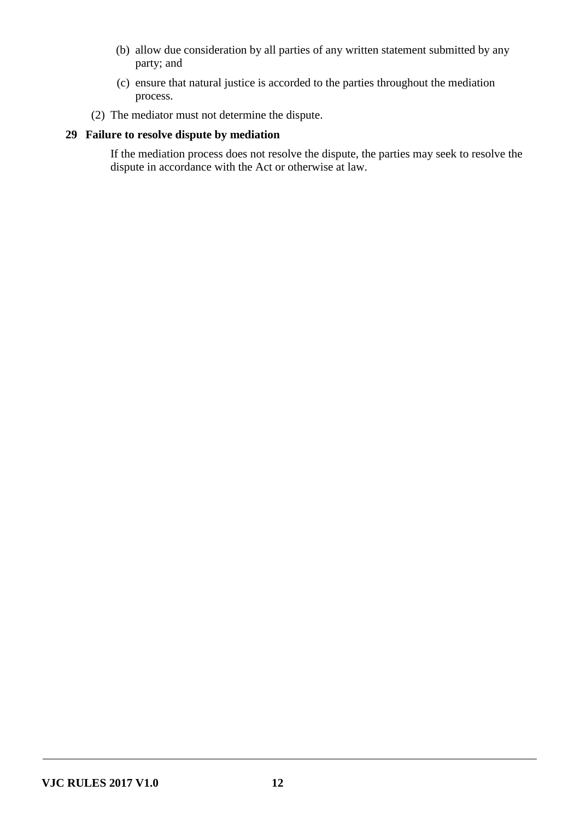- (b) allow due consideration by all parties of any written statement submitted by any party; and
- (c) ensure that natural justice is accorded to the parties throughout the mediation process.
- (2) The mediator must not determine the dispute.

# **29 Failure to resolve dispute by mediation**

If the mediation process does not resolve the dispute, the parties may seek to resolve the dispute in accordance with the Act or otherwise at law.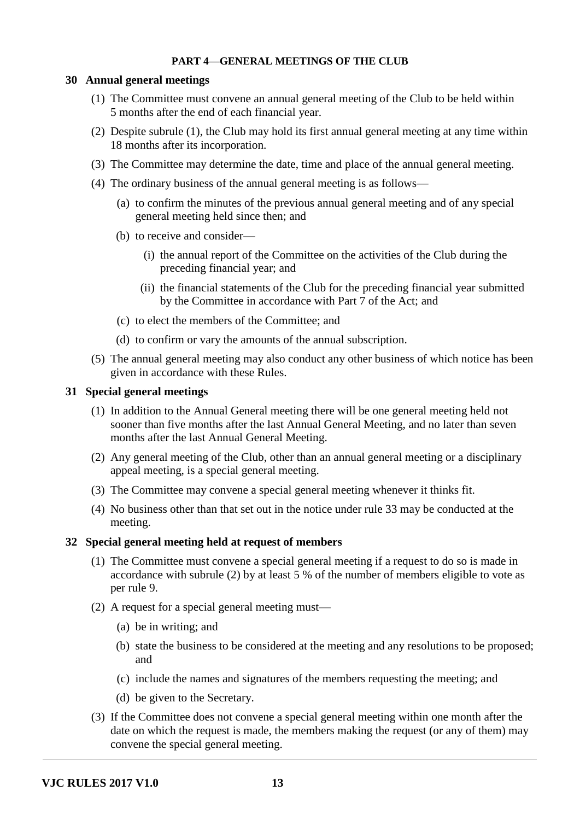#### **PART 4—GENERAL MEETINGS OF THE CLUB**

#### **30 Annual general meetings**

- (1) The Committee must convene an annual general meeting of the Club to be held within 5 months after the end of each financial year.
- (2) Despite subrule (1), the Club may hold its first annual general meeting at any time within 18 months after its incorporation.
- (3) The Committee may determine the date, time and place of the annual general meeting.
- (4) The ordinary business of the annual general meeting is as follows—
	- (a) to confirm the minutes of the previous annual general meeting and of any special general meeting held since then; and
	- (b) to receive and consider—
		- (i) the annual report of the Committee on the activities of the Club during the preceding financial year; and
		- (ii) the financial statements of the Club for the preceding financial year submitted by the Committee in accordance with Part 7 of the Act; and
	- (c) to elect the members of the Committee; and
	- (d) to confirm or vary the amounts of the annual subscription.
- (5) The annual general meeting may also conduct any other business of which notice has been given in accordance with these Rules.

#### **31 Special general meetings**

- (1) In addition to the Annual General meeting there will be one general meeting held not sooner than five months after the last Annual General Meeting, and no later than seven months after the last Annual General Meeting.
- (2) Any general meeting of the Club, other than an annual general meeting or a disciplinary appeal meeting, is a special general meeting.
- (3) The Committee may convene a special general meeting whenever it thinks fit.
- (4) No business other than that set out in the notice under rule 33 may be conducted at the meeting.

## **32 Special general meeting held at request of members**

- (1) The Committee must convene a special general meeting if a request to do so is made in accordance with subrule (2) by at least 5 % of the number of members eligible to vote as per rule 9.
- (2) A request for a special general meeting must—
	- (a) be in writing; and
	- (b) state the business to be considered at the meeting and any resolutions to be proposed; and
	- (c) include the names and signatures of the members requesting the meeting; and
	- (d) be given to the Secretary.
- (3) If the Committee does not convene a special general meeting within one month after the date on which the request is made, the members making the request (or any of them) may convene the special general meeting.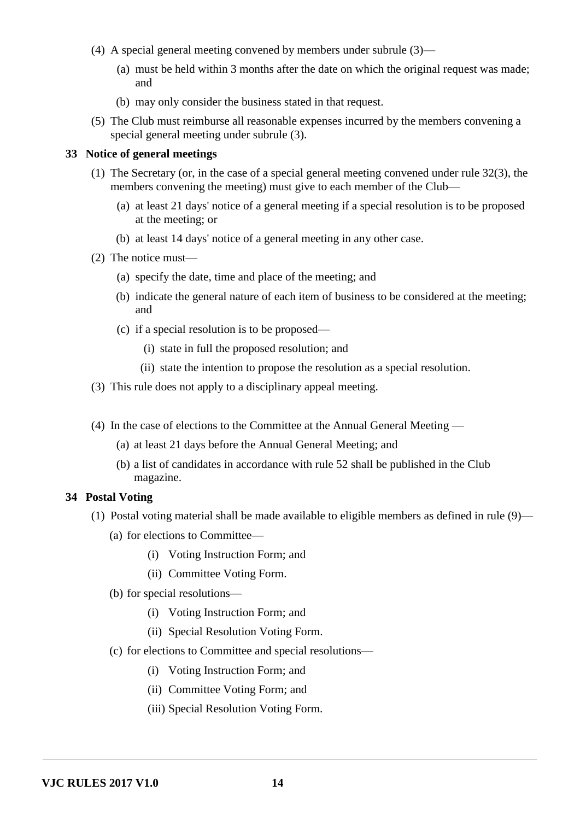- (4) A special general meeting convened by members under subrule (3)—
	- (a) must be held within 3 months after the date on which the original request was made; and
	- (b) may only consider the business stated in that request.
- (5) The Club must reimburse all reasonable expenses incurred by the members convening a special general meeting under subrule (3).

#### **33 Notice of general meetings**

- (1) The Secretary (or, in the case of a special general meeting convened under rule 32(3), the members convening the meeting) must give to each member of the Club—
	- (a) at least 21 days' notice of a general meeting if a special resolution is to be proposed at the meeting; or
	- (b) at least 14 days' notice of a general meeting in any other case.
- (2) The notice must—
	- (a) specify the date, time and place of the meeting; and
	- (b) indicate the general nature of each item of business to be considered at the meeting; and
	- (c) if a special resolution is to be proposed—
		- (i) state in full the proposed resolution; and
		- (ii) state the intention to propose the resolution as a special resolution.
- (3) This rule does not apply to a disciplinary appeal meeting.
- (4) In the case of elections to the Committee at the Annual General Meeting
	- (a) at least 21 days before the Annual General Meeting; and
	- (b) a list of candidates in accordance with rule 52 shall be published in the Club magazine.

#### **34 Postal Voting**

- (1) Postal voting material shall be made available to eligible members as defined in rule (9)—
	- (a) for elections to Committee—
		- (i) Voting Instruction Form; and
		- (ii) Committee Voting Form.
	- (b) for special resolutions—
		- (i) Voting Instruction Form; and
		- (ii) Special Resolution Voting Form.
	- (c) for elections to Committee and special resolutions—
		- (i) Voting Instruction Form; and
		- (ii) Committee Voting Form; and
		- (iii) Special Resolution Voting Form.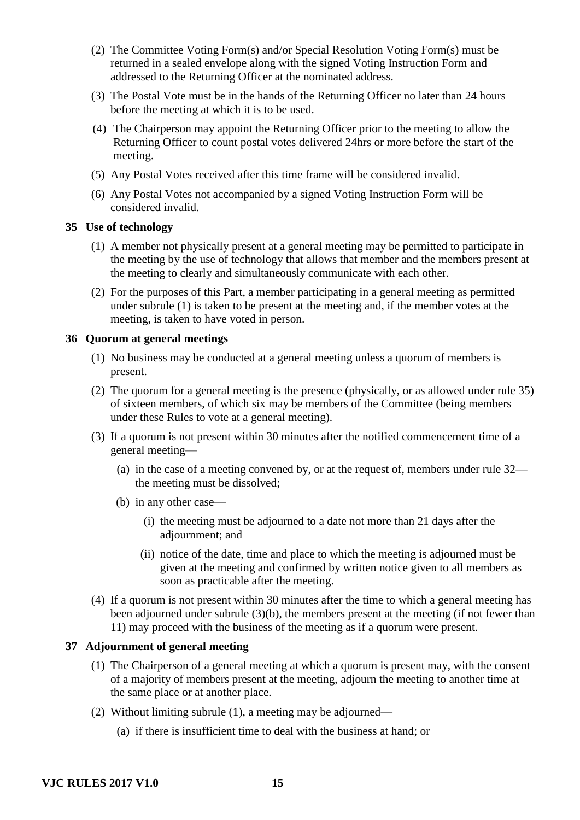- (2) The Committee Voting Form(s) and/or Special Resolution Voting Form(s) must be returned in a sealed envelope along with the signed Voting Instruction Form and addressed to the Returning Officer at the nominated address.
- (3) The Postal Vote must be in the hands of the Returning Officer no later than 24 hours before the meeting at which it is to be used.
- (4) The Chairperson may appoint the Returning Officer prior to the meeting to allow the Returning Officer to count postal votes delivered 24hrs or more before the start of the meeting.
- (5) Any Postal Votes received after this time frame will be considered invalid.
- (6) Any Postal Votes not accompanied by a signed Voting Instruction Form will be considered invalid.

#### **35 Use of technology**

- (1) A member not physically present at a general meeting may be permitted to participate in the meeting by the use of technology that allows that member and the members present at the meeting to clearly and simultaneously communicate with each other.
- (2) For the purposes of this Part, a member participating in a general meeting as permitted under subrule (1) is taken to be present at the meeting and, if the member votes at the meeting, is taken to have voted in person.

#### **36 Quorum at general meetings**

- (1) No business may be conducted at a general meeting unless a quorum of members is present.
- (2) The quorum for a general meeting is the presence (physically, or as allowed under rule 35) of sixteen members, of which six may be members of the Committee (being members under these Rules to vote at a general meeting).
- (3) If a quorum is not present within 30 minutes after the notified commencement time of a general meeting—
	- (a) in the case of a meeting convened by, or at the request of, members under rule 32 the meeting must be dissolved;
	- (b) in any other case—
		- (i) the meeting must be adjourned to a date not more than 21 days after the adjournment; and
		- (ii) notice of the date, time and place to which the meeting is adjourned must be given at the meeting and confirmed by written notice given to all members as soon as practicable after the meeting.
- (4) If a quorum is not present within 30 minutes after the time to which a general meeting has been adjourned under subrule (3)(b), the members present at the meeting (if not fewer than 11) may proceed with the business of the meeting as if a quorum were present.

# **37 Adjournment of general meeting**

- (1) The Chairperson of a general meeting at which a quorum is present may, with the consent of a majority of members present at the meeting, adjourn the meeting to another time at the same place or at another place.
- (2) Without limiting subrule (1), a meeting may be adjourned—
	- (a) if there is insufficient time to deal with the business at hand; or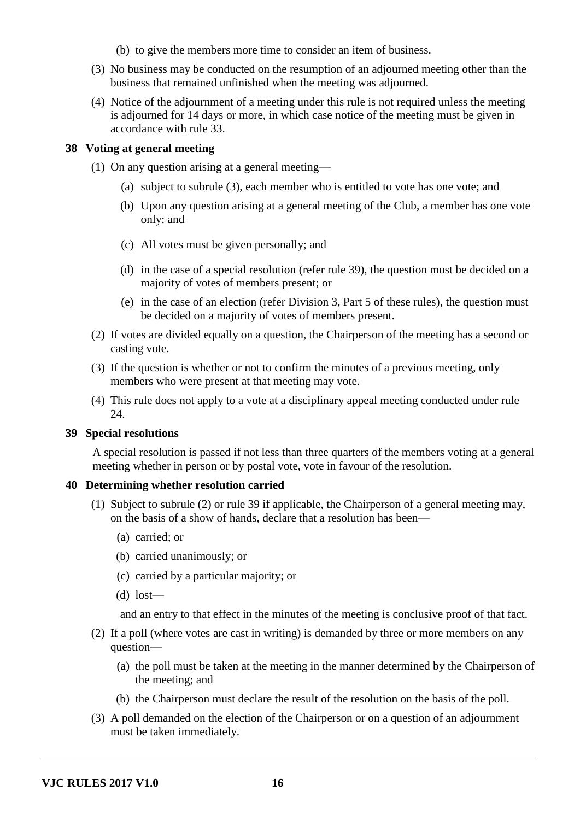- (b) to give the members more time to consider an item of business.
- (3) No business may be conducted on the resumption of an adjourned meeting other than the business that remained unfinished when the meeting was adjourned.
- (4) Notice of the adjournment of a meeting under this rule is not required unless the meeting is adjourned for 14 days or more, in which case notice of the meeting must be given in accordance with rule 33.

#### **38 Voting at general meeting**

- (1) On any question arising at a general meeting—
	- (a) subject to subrule (3), each member who is entitled to vote has one vote; and
	- (b) Upon any question arising at a general meeting of the Club, a member has one vote only: and
	- (c) All votes must be given personally; and
	- (d) in the case of a special resolution (refer rule 39), the question must be decided on a majority of votes of members present; or
	- (e) in the case of an election (refer Division 3, Part 5 of these rules), the question must be decided on a majority of votes of members present.
- (2) If votes are divided equally on a question, the Chairperson of the meeting has a second or casting vote.
- (3) If the question is whether or not to confirm the minutes of a previous meeting, only members who were present at that meeting may vote.
- (4) This rule does not apply to a vote at a disciplinary appeal meeting conducted under rule  $24.$

#### **39 Special resolutions**

A special resolution is passed if not less than three quarters of the members voting at a general meeting whether in person or by postal vote, vote in favour of the resolution.

#### **40 Determining whether resolution carried**

- (1) Subject to subrule (2) or rule 39 if applicable, the Chairperson of a general meeting may, on the basis of a show of hands, declare that a resolution has been—
	- (a) carried; or
	- (b) carried unanimously; or
	- (c) carried by a particular majority; or
	- (d) lost—

and an entry to that effect in the minutes of the meeting is conclusive proof of that fact.

- (2) If a poll (where votes are cast in writing) is demanded by three or more members on any question—
	- (a) the poll must be taken at the meeting in the manner determined by the Chairperson of the meeting; and
	- (b) the Chairperson must declare the result of the resolution on the basis of the poll.
- (3) A poll demanded on the election of the Chairperson or on a question of an adjournment must be taken immediately.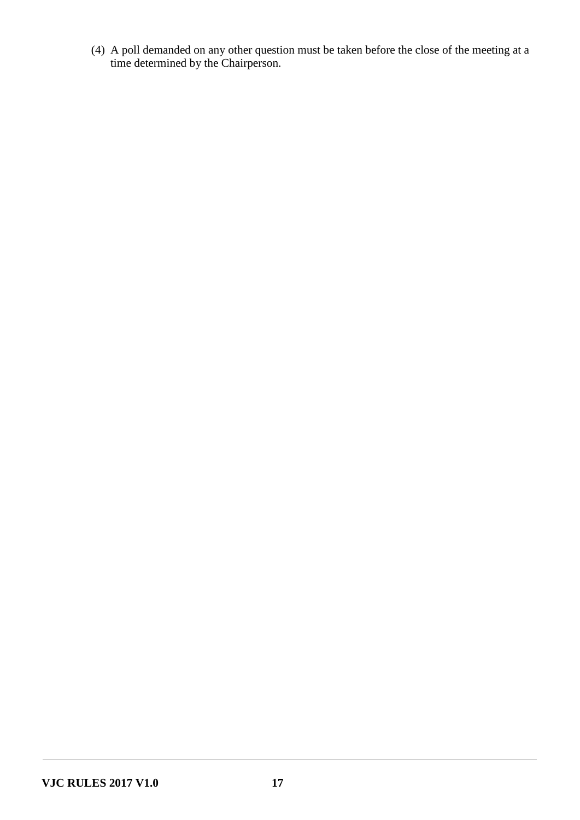(4) A poll demanded on any other question must be taken before the close of the meeting at a time determined by the Chairperson.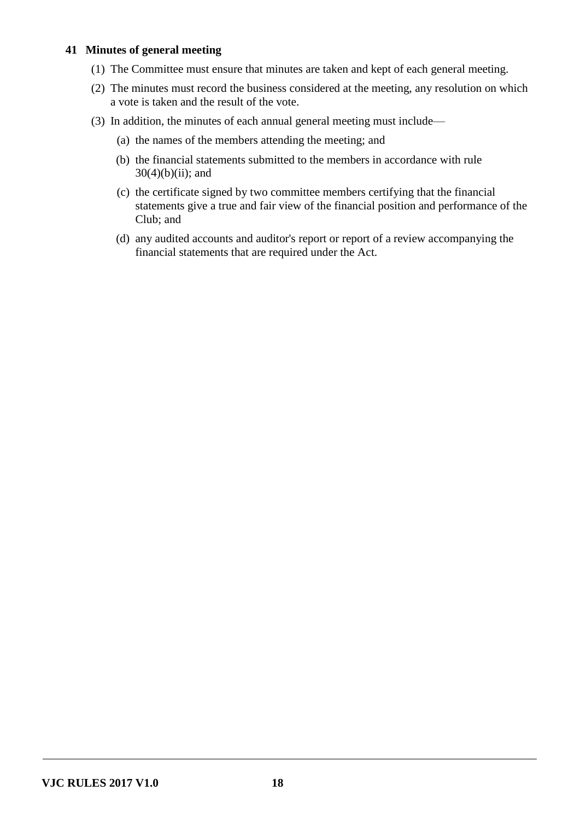# **41 Minutes of general meeting**

- (1) The Committee must ensure that minutes are taken and kept of each general meeting.
- (2) The minutes must record the business considered at the meeting, any resolution on which a vote is taken and the result of the vote.
- (3) In addition, the minutes of each annual general meeting must include—
	- (a) the names of the members attending the meeting; and
	- (b) the financial statements submitted to the members in accordance with rule  $30(4)(b)(ii)$ ; and
	- (c) the certificate signed by two committee members certifying that the financial statements give a true and fair view of the financial position and performance of the Club; and
	- (d) any audited accounts and auditor's report or report of a review accompanying the financial statements that are required under the Act.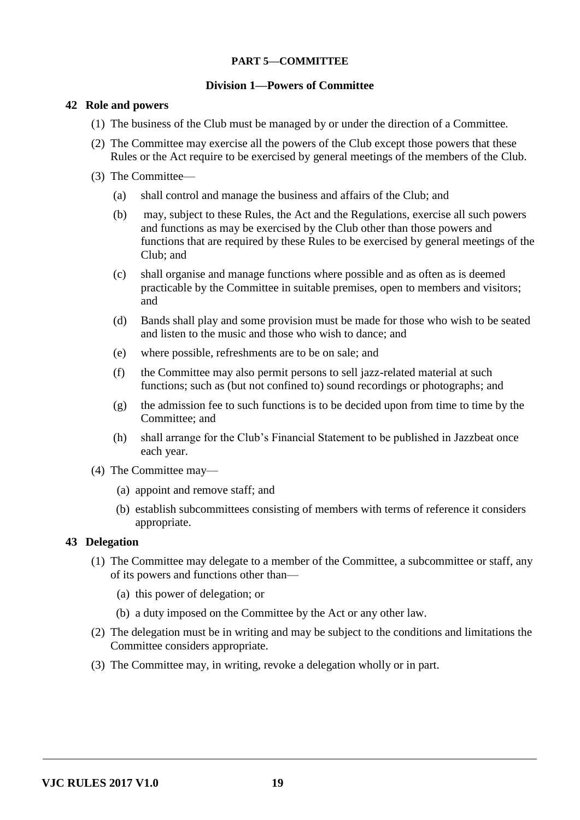# **PART 5—COMMITTEE**

## **Division 1—Powers of Committee**

# **42 Role and powers**

- (1) The business of the Club must be managed by or under the direction of a Committee.
- (2) The Committee may exercise all the powers of the Club except those powers that these Rules or the Act require to be exercised by general meetings of the members of the Club.
- (3) The Committee—
	- (a) shall control and manage the business and affairs of the Club; and
	- (b) may, subject to these Rules, the Act and the Regulations, exercise all such powers and functions as may be exercised by the Club other than those powers and functions that are required by these Rules to be exercised by general meetings of the Club; and
	- (c) shall organise and manage functions where possible and as often as is deemed practicable by the Committee in suitable premises, open to members and visitors; and
	- (d) Bands shall play and some provision must be made for those who wish to be seated and listen to the music and those who wish to dance; and
	- (e) where possible, refreshments are to be on sale; and
	- (f) the Committee may also permit persons to sell jazz-related material at such functions; such as (but not confined to) sound recordings or photographs; and
	- (g) the admission fee to such functions is to be decided upon from time to time by the Committee; and
	- (h) shall arrange for the Club's Financial Statement to be published in Jazzbeat once each year.
- (4) The Committee may—
	- (a) appoint and remove staff; and
	- (b) establish subcommittees consisting of members with terms of reference it considers appropriate.

# **43 Delegation**

- (1) The Committee may delegate to a member of the Committee, a subcommittee or staff, any of its powers and functions other than—
	- (a) this power of delegation; or
	- (b) a duty imposed on the Committee by the Act or any other law.
- (2) The delegation must be in writing and may be subject to the conditions and limitations the Committee considers appropriate.
- (3) The Committee may, in writing, revoke a delegation wholly or in part.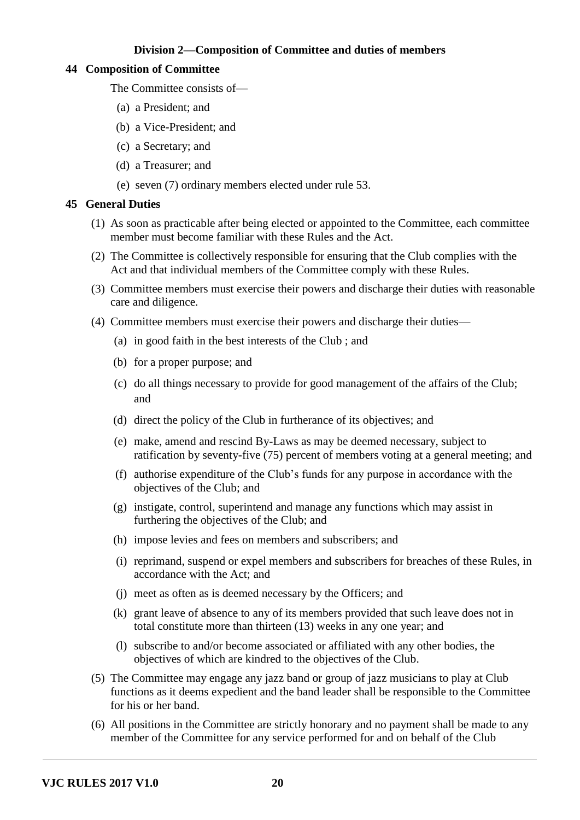# **Division 2—Composition of Committee and duties of members**

## **44 Composition of Committee**

The Committee consists of—

- (a) a President; and
- (b) a Vice-President; and
- (c) a Secretary; and
- (d) a Treasurer; and
- (e) seven (7) ordinary members elected under rule 53.

# **45 General Duties**

- (1) As soon as practicable after being elected or appointed to the Committee, each committee member must become familiar with these Rules and the Act.
- (2) The Committee is collectively responsible for ensuring that the Club complies with the Act and that individual members of the Committee comply with these Rules.
- (3) Committee members must exercise their powers and discharge their duties with reasonable care and diligence.
- (4) Committee members must exercise their powers and discharge their duties—
	- (a) in good faith in the best interests of the Club ; and
	- (b) for a proper purpose; and
	- (c) do all things necessary to provide for good management of the affairs of the Club; and
	- (d) direct the policy of the Club in furtherance of its objectives; and
	- (e) make, amend and rescind By-Laws as may be deemed necessary, subject to ratification by seventy-five (75) percent of members voting at a general meeting; and
	- (f) authorise expenditure of the Club's funds for any purpose in accordance with the objectives of the Club; and
	- (g) instigate, control, superintend and manage any functions which may assist in furthering the objectives of the Club; and
	- (h) impose levies and fees on members and subscribers; and
	- (i) reprimand, suspend or expel members and subscribers for breaches of these Rules, in accordance with the Act; and
	- (j) meet as often as is deemed necessary by the Officers; and
	- (k) grant leave of absence to any of its members provided that such leave does not in total constitute more than thirteen (13) weeks in any one year; and
	- (l) subscribe to and/or become associated or affiliated with any other bodies, the objectives of which are kindred to the objectives of the Club.
- (5) The Committee may engage any jazz band or group of jazz musicians to play at Club functions as it deems expedient and the band leader shall be responsible to the Committee for his or her band.
- (6) All positions in the Committee are strictly honorary and no payment shall be made to any member of the Committee for any service performed for and on behalf of the Club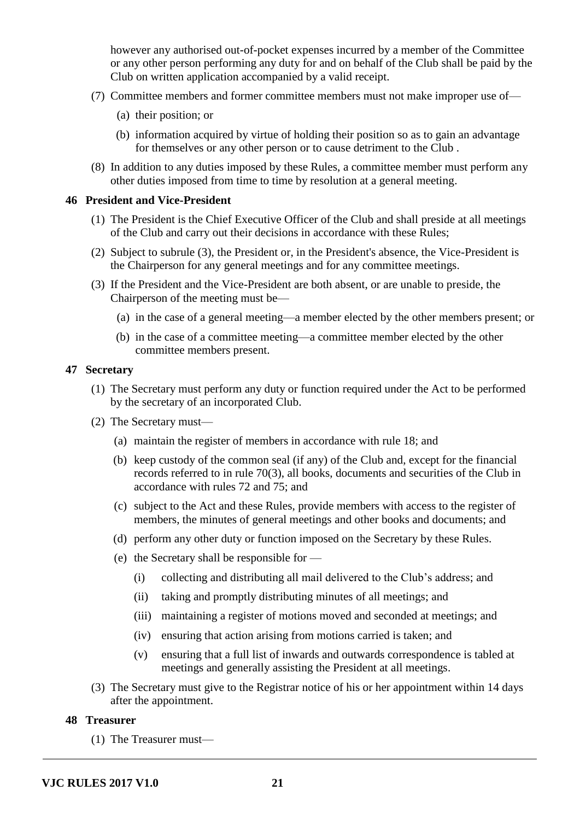however any authorised out-of-pocket expenses incurred by a member of the Committee or any other person performing any duty for and on behalf of the Club shall be paid by the Club on written application accompanied by a valid receipt.

- (7) Committee members and former committee members must not make improper use of—
	- (a) their position; or
	- (b) information acquired by virtue of holding their position so as to gain an advantage for themselves or any other person or to cause detriment to the Club .
- (8) In addition to any duties imposed by these Rules, a committee member must perform any other duties imposed from time to time by resolution at a general meeting.

## **46 President and Vice-President**

- (1) The President is the Chief Executive Officer of the Club and shall preside at all meetings of the Club and carry out their decisions in accordance with these Rules;
- (2) Subject to subrule (3), the President or, in the President's absence, the Vice-President is the Chairperson for any general meetings and for any committee meetings.
- (3) If the President and the Vice-President are both absent, or are unable to preside, the Chairperson of the meeting must be—
	- (a) in the case of a general meeting—a member elected by the other members present; or
	- (b) in the case of a committee meeting—a committee member elected by the other committee members present.

#### **47 Secretary**

- (1) The Secretary must perform any duty or function required under the Act to be performed by the secretary of an incorporated Club.
- (2) The Secretary must—
	- (a) maintain the register of members in accordance with rule 18; and
	- (b) keep custody of the common seal (if any) of the Club and, except for the financial records referred to in rule 70(3), all books, documents and securities of the Club in accordance with rules 72 and 75; and
	- (c) subject to the Act and these Rules, provide members with access to the register of members, the minutes of general meetings and other books and documents; and
	- (d) perform any other duty or function imposed on the Secretary by these Rules.
	- (e) the Secretary shall be responsible for
		- (i) collecting and distributing all mail delivered to the Club's address; and
		- (ii) taking and promptly distributing minutes of all meetings; and
		- (iii) maintaining a register of motions moved and seconded at meetings; and
		- (iv) ensuring that action arising from motions carried is taken; and
		- (v) ensuring that a full list of inwards and outwards correspondence is tabled at meetings and generally assisting the President at all meetings.
- (3) The Secretary must give to the Registrar notice of his or her appointment within 14 days after the appointment.

# **48 Treasurer**

(1) The Treasurer must—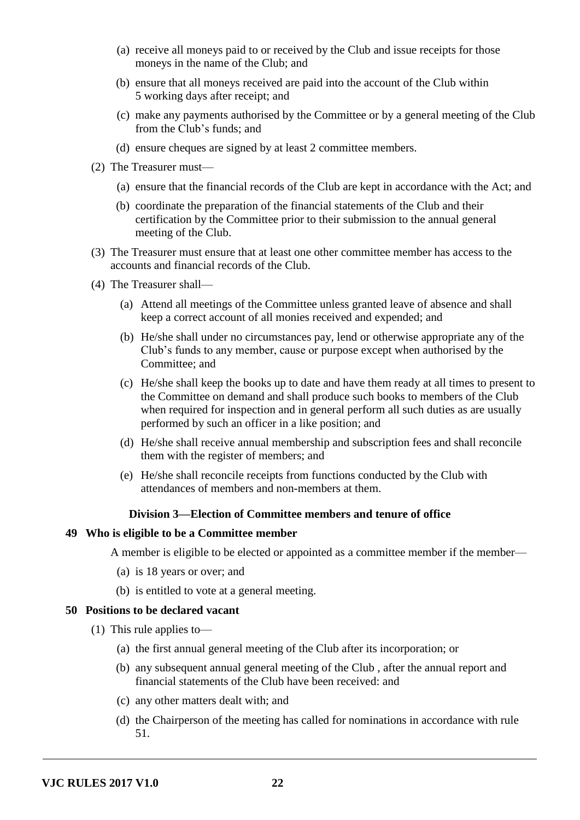- (a) receive all moneys paid to or received by the Club and issue receipts for those moneys in the name of the Club; and
- (b) ensure that all moneys received are paid into the account of the Club within 5 working days after receipt; and
- (c) make any payments authorised by the Committee or by a general meeting of the Club from the Club's funds; and
- (d) ensure cheques are signed by at least 2 committee members.
- (2) The Treasurer must—
	- (a) ensure that the financial records of the Club are kept in accordance with the Act; and
	- (b) coordinate the preparation of the financial statements of the Club and their certification by the Committee prior to their submission to the annual general meeting of the Club.
- (3) The Treasurer must ensure that at least one other committee member has access to the accounts and financial records of the Club.
- (4) The Treasurer shall—
	- (a) Attend all meetings of the Committee unless granted leave of absence and shall keep a correct account of all monies received and expended; and
	- (b) He/she shall under no circumstances pay, lend or otherwise appropriate any of the Club's funds to any member, cause or purpose except when authorised by the Committee; and
	- (c) He/she shall keep the books up to date and have them ready at all times to present to the Committee on demand and shall produce such books to members of the Club when required for inspection and in general perform all such duties as are usually performed by such an officer in a like position; and
	- (d) He/she shall receive annual membership and subscription fees and shall reconcile them with the register of members; and
	- (e) He/she shall reconcile receipts from functions conducted by the Club with attendances of members and non-members at them.

#### **Division 3—Election of Committee members and tenure of office**

#### **49 Who is eligible to be a Committee member**

A member is eligible to be elected or appointed as a committee member if the member—

- (a) is 18 years or over; and
- (b) is entitled to vote at a general meeting.

#### **50 Positions to be declared vacant**

- (1) This rule applies to—
	- (a) the first annual general meeting of the Club after its incorporation; or
	- (b) any subsequent annual general meeting of the Club , after the annual report and financial statements of the Club have been received: and
	- (c) any other matters dealt with; and
	- (d) the Chairperson of the meeting has called for nominations in accordance with rule 51.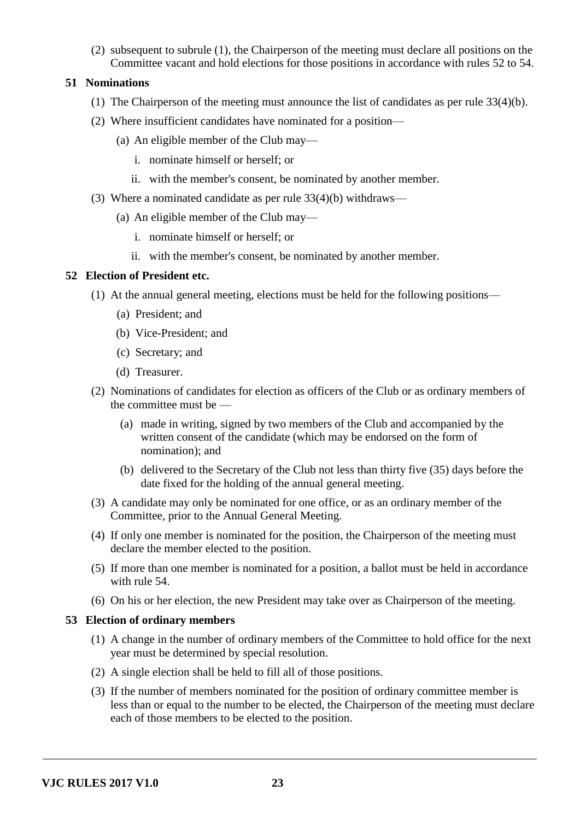(2) subsequent to subrule (1), the Chairperson of the meeting must declare all positions on the Committee vacant and hold elections for those positions in accordance with rules 52 to 54.

# **51 Nominations**

- (1) The Chairperson of the meeting must announce the list of candidates as per rule 33(4)(b).
- (2) Where insufficient candidates have nominated for a position—
	- (a) An eligible member of the Club may
		- i. nominate himself or herself; or
		- ii. with the member's consent, be nominated by another member.
- (3) Where a nominated candidate as per rule 33(4)(b) withdraws—
	- (a) An eligible member of the Club may
		- i. nominate himself or herself; or
		- ii. with the member's consent, be nominated by another member.

# **52 Election of President etc.**

- (1) At the annual general meeting, elections must be held for the following positions—
	- (a) President; and
	- (b) Vice-President; and
	- (c) Secretary; and
	- (d) Treasurer.
- (2) Nominations of candidates for election as officers of the Club or as ordinary members of the committee must be —
	- (a) made in writing, signed by two members of the Club and accompanied by the written consent of the candidate (which may be endorsed on the form of nomination); and
	- (b) delivered to the Secretary of the Club not less than thirty five (35) days before the date fixed for the holding of the annual general meeting.
- (3) A candidate may only be nominated for one office, or as an ordinary member of the Committee, prior to the Annual General Meeting.
- (4) If only one member is nominated for the position, the Chairperson of the meeting must declare the member elected to the position.
- (5) If more than one member is nominated for a position, a ballot must be held in accordance with rule 54.
- (6) On his or her election, the new President may take over as Chairperson of the meeting.

# **53 Election of ordinary members**

- (1) A change in the number of ordinary members of the Committee to hold office for the next year must be determined by special resolution.
- (2) A single election shall be held to fill all of those positions.
- (3) If the number of members nominated for the position of ordinary committee member is less than or equal to the number to be elected, the Chairperson of the meeting must declare each of those members to be elected to the position.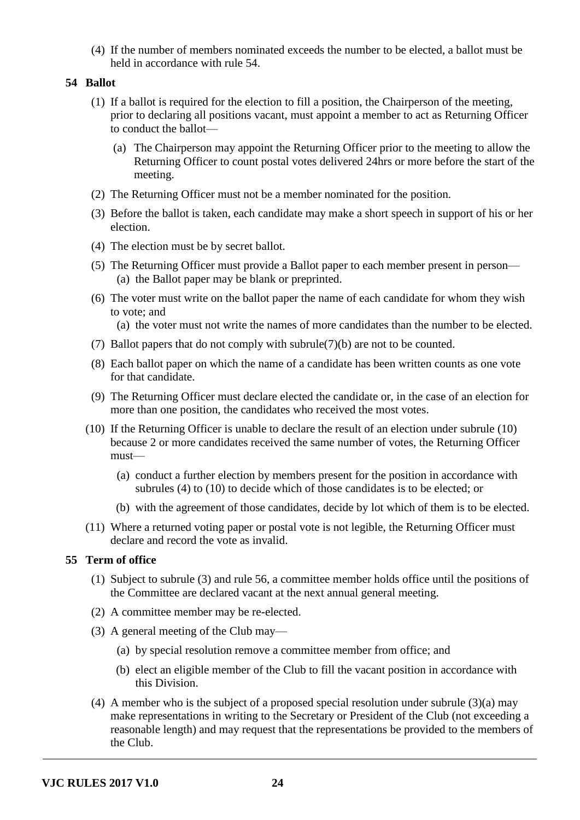(4) If the number of members nominated exceeds the number to be elected, a ballot must be held in accordance with rule 54.

# **54 Ballot**

- (1) If a ballot is required for the election to fill a position, the Chairperson of the meeting, prior to declaring all positions vacant, must appoint a member to act as Returning Officer to conduct the ballot—
	- (a) The Chairperson may appoint the Returning Officer prior to the meeting to allow the Returning Officer to count postal votes delivered 24hrs or more before the start of the meeting.
- (2) The Returning Officer must not be a member nominated for the position.
- (3) Before the ballot is taken, each candidate may make a short speech in support of his or her election.
- (4) The election must be by secret ballot.
- (5) The Returning Officer must provide a Ballot paper to each member present in person— (a) the Ballot paper may be blank or preprinted.
- (6) The voter must write on the ballot paper the name of each candidate for whom they wish to vote; and
	- (a) the voter must not write the names of more candidates than the number to be elected.
- (7) Ballot papers that do not comply with subrule(7)(b) are not to be counted.
- (8) Each ballot paper on which the name of a candidate has been written counts as one vote for that candidate.
- (9) The Returning Officer must declare elected the candidate or, in the case of an election for more than one position, the candidates who received the most votes.
- (10) If the Returning Officer is unable to declare the result of an election under subrule (10) because 2 or more candidates received the same number of votes, the Returning Officer must—
	- (a) conduct a further election by members present for the position in accordance with subrules (4) to (10) to decide which of those candidates is to be elected; or
	- (b) with the agreement of those candidates, decide by lot which of them is to be elected.
- (11) Where a returned voting paper or postal vote is not legible, the Returning Officer must declare and record the vote as invalid.

# **55 Term of office**

- (1) Subject to subrule (3) and rule 56, a committee member holds office until the positions of the Committee are declared vacant at the next annual general meeting.
- (2) A committee member may be re-elected.
- (3) A general meeting of the Club may—
	- (a) by special resolution remove a committee member from office; and
	- (b) elect an eligible member of the Club to fill the vacant position in accordance with this Division.
- (4) A member who is the subject of a proposed special resolution under subrule (3)(a) may make representations in writing to the Secretary or President of the Club (not exceeding a reasonable length) and may request that the representations be provided to the members of the Club.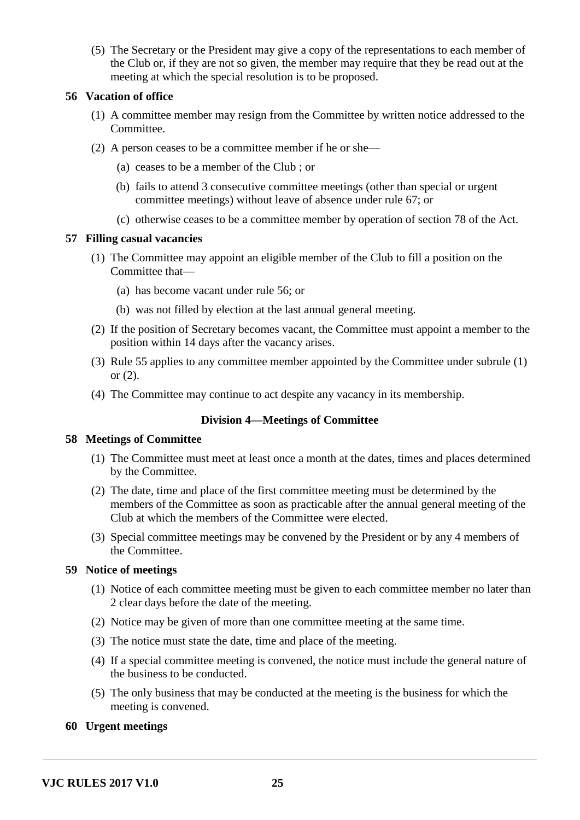(5) The Secretary or the President may give a copy of the representations to each member of the Club or, if they are not so given, the member may require that they be read out at the meeting at which the special resolution is to be proposed.

# **56 Vacation of office**

- (1) A committee member may resign from the Committee by written notice addressed to the Committee.
- (2) A person ceases to be a committee member if he or she—
	- (a) ceases to be a member of the Club ; or
	- (b) fails to attend 3 consecutive committee meetings (other than special or urgent committee meetings) without leave of absence under rule 67; or
	- (c) otherwise ceases to be a committee member by operation of section 78 of the Act.

## **57 Filling casual vacancies**

- (1) The Committee may appoint an eligible member of the Club to fill a position on the Committee that—
	- (a) has become vacant under rule 56; or
	- (b) was not filled by election at the last annual general meeting.
- (2) If the position of Secretary becomes vacant, the Committee must appoint a member to the position within 14 days after the vacancy arises.
- (3) Rule 55 applies to any committee member appointed by the Committee under subrule (1) or (2).
- (4) The Committee may continue to act despite any vacancy in its membership.

# **Division 4—Meetings of Committee**

## **58 Meetings of Committee**

- (1) The Committee must meet at least once a month at the dates, times and places determined by the Committee.
- (2) The date, time and place of the first committee meeting must be determined by the members of the Committee as soon as practicable after the annual general meeting of the Club at which the members of the Committee were elected.
- (3) Special committee meetings may be convened by the President or by any 4 members of the Committee.

# **59 Notice of meetings**

- (1) Notice of each committee meeting must be given to each committee member no later than 2 clear days before the date of the meeting.
- (2) Notice may be given of more than one committee meeting at the same time.
- (3) The notice must state the date, time and place of the meeting.
- (4) If a special committee meeting is convened, the notice must include the general nature of the business to be conducted.
- (5) The only business that may be conducted at the meeting is the business for which the meeting is convened.

# **60 Urgent meetings**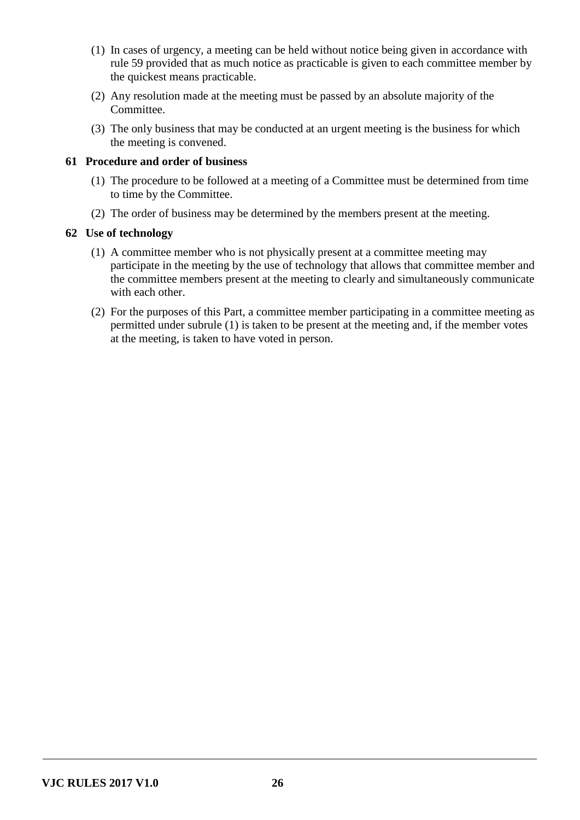- (1) In cases of urgency, a meeting can be held without notice being given in accordance with rule 59 provided that as much notice as practicable is given to each committee member by the quickest means practicable.
- (2) Any resolution made at the meeting must be passed by an absolute majority of the Committee.
- (3) The only business that may be conducted at an urgent meeting is the business for which the meeting is convened.

# **61 Procedure and order of business**

- (1) The procedure to be followed at a meeting of a Committee must be determined from time to time by the Committee.
- (2) The order of business may be determined by the members present at the meeting.

# **62 Use of technology**

- (1) A committee member who is not physically present at a committee meeting may participate in the meeting by the use of technology that allows that committee member and the committee members present at the meeting to clearly and simultaneously communicate with each other.
- (2) For the purposes of this Part, a committee member participating in a committee meeting as permitted under subrule (1) is taken to be present at the meeting and, if the member votes at the meeting, is taken to have voted in person.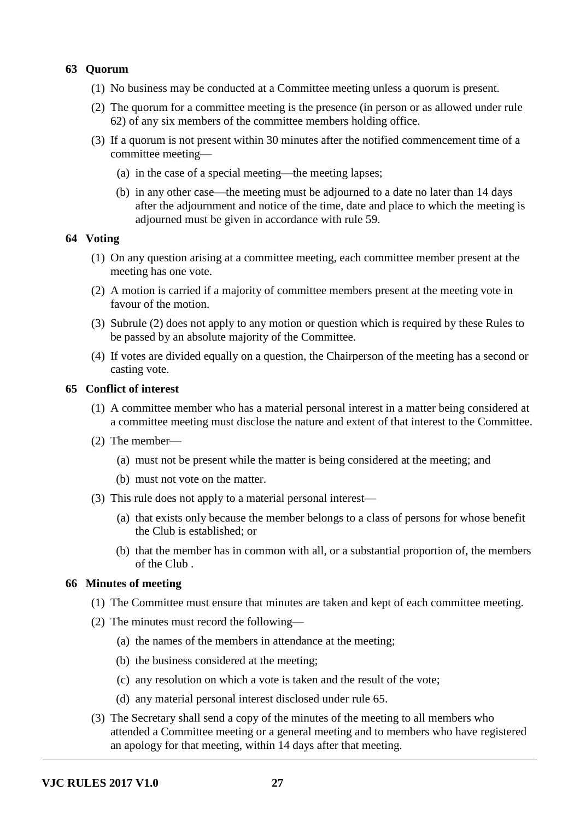# **63 Quorum**

- (1) No business may be conducted at a Committee meeting unless a quorum is present.
- (2) The quorum for a committee meeting is the presence (in person or as allowed under rule 62) of any six members of the committee members holding office.
- (3) If a quorum is not present within 30 minutes after the notified commencement time of a committee meeting—
	- (a) in the case of a special meeting—the meeting lapses;
	- (b) in any other case—the meeting must be adjourned to a date no later than 14 days after the adjournment and notice of the time, date and place to which the meeting is adjourned must be given in accordance with rule 59.

#### **64 Voting**

- (1) On any question arising at a committee meeting, each committee member present at the meeting has one vote.
- (2) A motion is carried if a majority of committee members present at the meeting vote in favour of the motion.
- (3) Subrule (2) does not apply to any motion or question which is required by these Rules to be passed by an absolute majority of the Committee.
- (4) If votes are divided equally on a question, the Chairperson of the meeting has a second or casting vote.

## **65 Conflict of interest**

- (1) A committee member who has a material personal interest in a matter being considered at a committee meeting must disclose the nature and extent of that interest to the Committee.
- (2) The member—
	- (a) must not be present while the matter is being considered at the meeting; and
	- (b) must not vote on the matter.
- (3) This rule does not apply to a material personal interest—
	- (a) that exists only because the member belongs to a class of persons for whose benefit the Club is established; or
	- (b) that the member has in common with all, or a substantial proportion of, the members of the Club .

## **66 Minutes of meeting**

- (1) The Committee must ensure that minutes are taken and kept of each committee meeting.
- (2) The minutes must record the following—
	- (a) the names of the members in attendance at the meeting;
	- (b) the business considered at the meeting;
	- (c) any resolution on which a vote is taken and the result of the vote;
	- (d) any material personal interest disclosed under rule 65.
- (3) The Secretary shall send a copy of the minutes of the meeting to all members who attended a Committee meeting or a general meeting and to members who have registered an apology for that meeting, within 14 days after that meeting.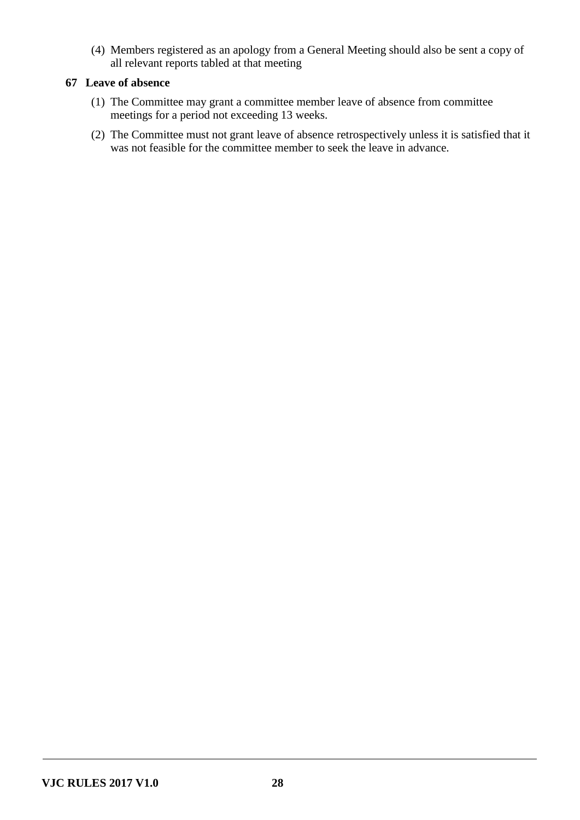(4) Members registered as an apology from a General Meeting should also be sent a copy of all relevant reports tabled at that meeting

# **67 Leave of absence**

- (1) The Committee may grant a committee member leave of absence from committee meetings for a period not exceeding 13 weeks.
- (2) The Committee must not grant leave of absence retrospectively unless it is satisfied that it was not feasible for the committee member to seek the leave in advance.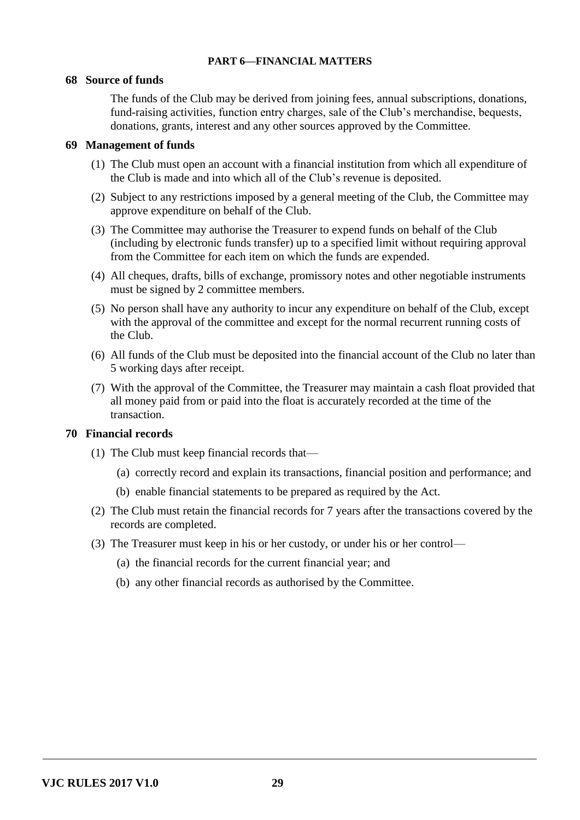# **PART 6—FINANCIAL MATTERS**

## **68 Source of funds**

The funds of the Club may be derived from joining fees, annual subscriptions, donations, fund-raising activities, function entry charges, sale of the Club's merchandise, bequests, donations, grants, interest and any other sources approved by the Committee.

## **69 Management of funds**

- (1) The Club must open an account with a financial institution from which all expenditure of the Club is made and into which all of the Club's revenue is deposited.
- (2) Subject to any restrictions imposed by a general meeting of the Club, the Committee may approve expenditure on behalf of the Club.
- (3) The Committee may authorise the Treasurer to expend funds on behalf of the Club (including by electronic funds transfer) up to a specified limit without requiring approval from the Committee for each item on which the funds are expended.
- (4) All cheques, drafts, bills of exchange, promissory notes and other negotiable instruments must be signed by 2 committee members.
- (5) No person shall have any authority to incur any expenditure on behalf of the Club, except with the approval of the committee and except for the normal recurrent running costs of the Club.
- (6) All funds of the Club must be deposited into the financial account of the Club no later than 5 working days after receipt.
- (7) With the approval of the Committee, the Treasurer may maintain a cash float provided that all money paid from or paid into the float is accurately recorded at the time of the transaction.

## **70 Financial records**

- (1) The Club must keep financial records that—
	- (a) correctly record and explain its transactions, financial position and performance; and
	- (b) enable financial statements to be prepared as required by the Act.
- (2) The Club must retain the financial records for 7 years after the transactions covered by the records are completed.
- (3) The Treasurer must keep in his or her custody, or under his or her control—
	- (a) the financial records for the current financial year; and
	- (b) any other financial records as authorised by the Committee.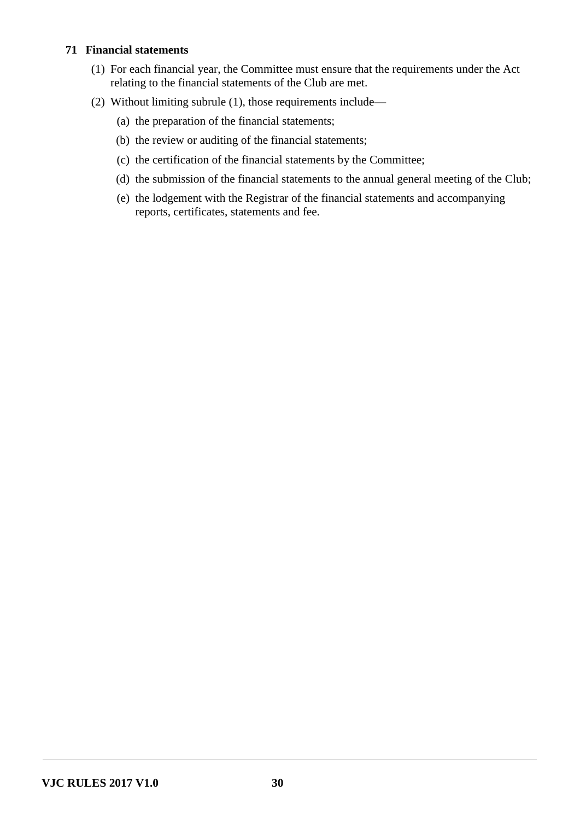# **71 Financial statements**

- (1) For each financial year, the Committee must ensure that the requirements under the Act relating to the financial statements of the Club are met.
- (2) Without limiting subrule (1), those requirements include—
	- (a) the preparation of the financial statements;
	- (b) the review or auditing of the financial statements;
	- (c) the certification of the financial statements by the Committee;
	- (d) the submission of the financial statements to the annual general meeting of the Club;
	- (e) the lodgement with the Registrar of the financial statements and accompanying reports, certificates, statements and fee.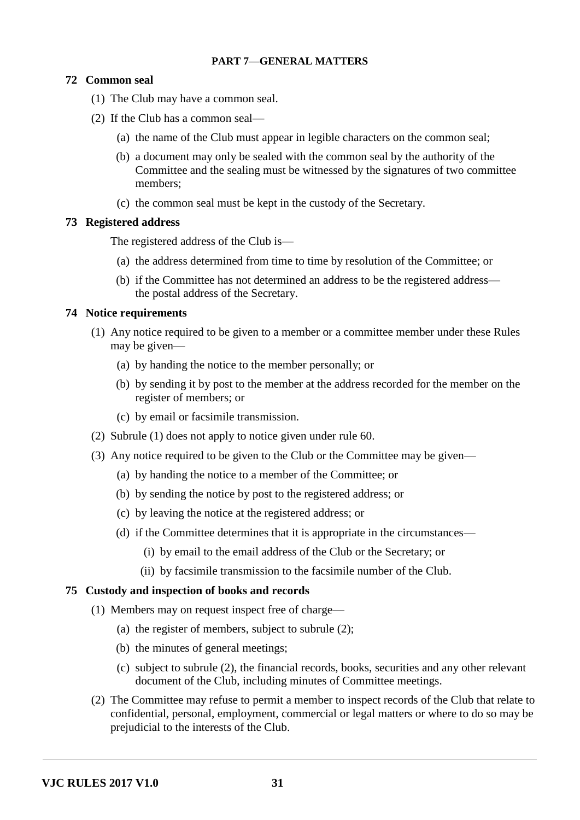## **PART 7—GENERAL MATTERS**

# **72 Common seal**

- (1) The Club may have a common seal.
- (2) If the Club has a common seal—
	- (a) the name of the Club must appear in legible characters on the common seal;
	- (b) a document may only be sealed with the common seal by the authority of the Committee and the sealing must be witnessed by the signatures of two committee members;
	- (c) the common seal must be kept in the custody of the Secretary.

#### **73 Registered address**

The registered address of the Club is—

- (a) the address determined from time to time by resolution of the Committee; or
- (b) if the Committee has not determined an address to be the registered address the postal address of the Secretary.

## **74 Notice requirements**

- (1) Any notice required to be given to a member or a committee member under these Rules may be given—
	- (a) by handing the notice to the member personally; or
	- (b) by sending it by post to the member at the address recorded for the member on the register of members; or
	- (c) by email or facsimile transmission.
- (2) Subrule (1) does not apply to notice given under rule 60.
- (3) Any notice required to be given to the Club or the Committee may be given—
	- (a) by handing the notice to a member of the Committee; or
	- (b) by sending the notice by post to the registered address; or
	- (c) by leaving the notice at the registered address; or
	- (d) if the Committee determines that it is appropriate in the circumstances—
		- (i) by email to the email address of the Club or the Secretary; or
		- (ii) by facsimile transmission to the facsimile number of the Club.

## **75 Custody and inspection of books and records**

- (1) Members may on request inspect free of charge—
	- (a) the register of members, subject to subrule (2);
	- (b) the minutes of general meetings;
	- (c) subject to subrule (2), the financial records, books, securities and any other relevant document of the Club, including minutes of Committee meetings.
- (2) The Committee may refuse to permit a member to inspect records of the Club that relate to confidential, personal, employment, commercial or legal matters or where to do so may be prejudicial to the interests of the Club.